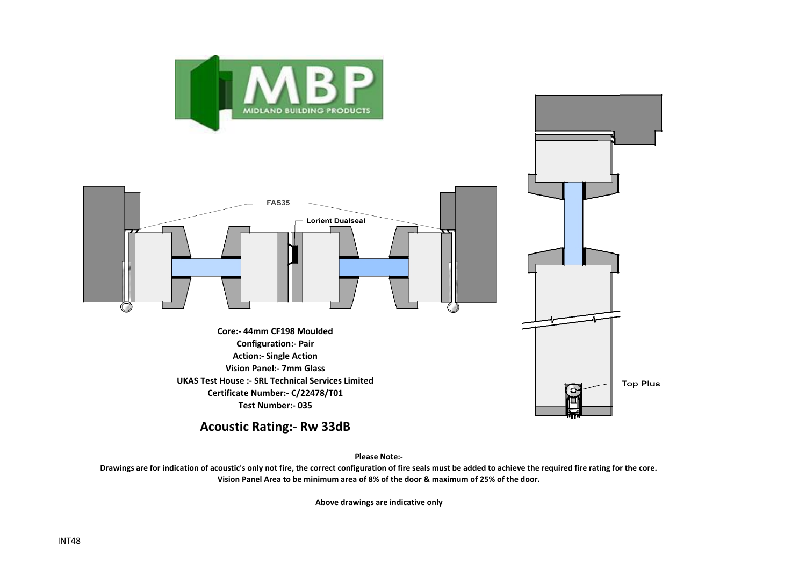



**Acoustic Rating:- Rw 33dB**

**Please Note:-** 

**Drawings are for indication of acoustic's only not fire, the correct configuration of fire seals must be added to achieve the required fire rating for the core. Vision Panel Area to be minimum area of 8% of the door & maximum of 25% of the door.**

**Above drawings are indicative only**